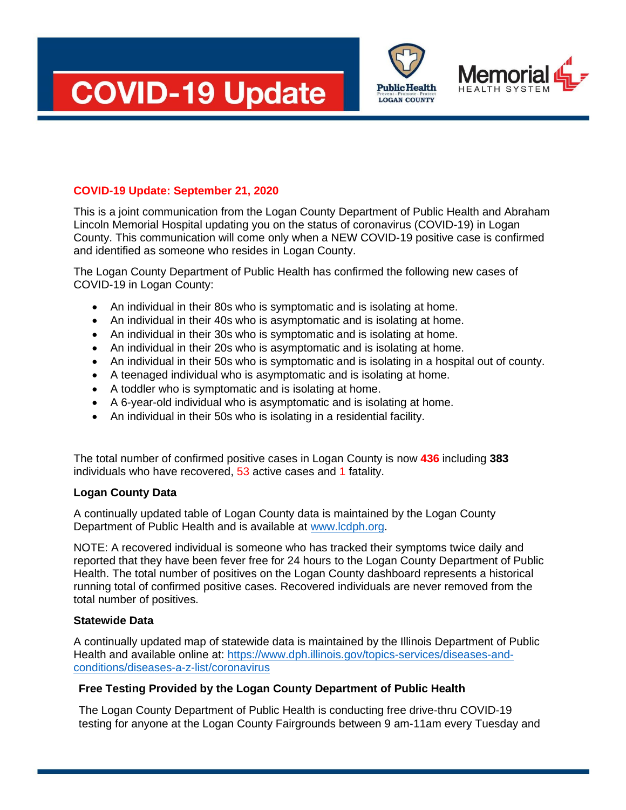



**Public Health LOGAN COUNTY** 

## **COVID-19 Update: September 21, 2020**

This is a joint communication from the Logan County Department of Public Health and Abraham Lincoln Memorial Hospital updating you on the status of coronavirus (COVID-19) in Logan County. This communication will come only when a NEW COVID-19 positive case is confirmed and identified as someone who resides in Logan County.

The Logan County Department of Public Health has confirmed the following new cases of COVID-19 in Logan County:

- An individual in their 80s who is symptomatic and is isolating at home.
- An individual in their 40s who is asymptomatic and is isolating at home.
- An individual in their 30s who is symptomatic and is isolating at home.
- An individual in their 20s who is asymptomatic and is isolating at home.
- An individual in their 50s who is symptomatic and is isolating in a hospital out of county.
- A teenaged individual who is asymptomatic and is isolating at home.
- A toddler who is symptomatic and is isolating at home.
- A 6-year-old individual who is asymptomatic and is isolating at home.
- An individual in their 50s who is isolating in a residential facility.

The total number of confirmed positive cases in Logan County is now **436** including **383**  individuals who have recovered, 53 active cases and 1 fatality.

#### **Logan County Data**

A continually updated table of Logan County data is maintained by the Logan County Department of Public Health and is available at [www.lcdph.org.](http://www.lcdph.org/)

NOTE: A recovered individual is someone who has tracked their symptoms twice daily and reported that they have been fever free for 24 hours to the Logan County Department of Public Health. The total number of positives on the Logan County dashboard represents a historical running total of confirmed positive cases. Recovered individuals are never removed from the total number of positives.

#### **Statewide Data**

A continually updated map of statewide data is maintained by the Illinois Department of Public Health and available online at: [https://www.dph.illinois.gov/topics-services/diseases-and](https://www.dph.illinois.gov/topics-services/diseases-and-conditions/diseases-a-z-list/coronavirus)[conditions/diseases-a-z-list/coronavirus](https://www.dph.illinois.gov/topics-services/diseases-and-conditions/diseases-a-z-list/coronavirus)

## **Free Testing Provided by the Logan County Department of Public Health**

The Logan County Department of Public Health is conducting free drive-thru COVID-19 testing for anyone at the Logan County Fairgrounds between 9 am-11am every Tuesday and